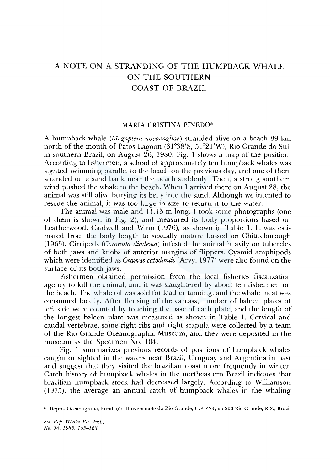# A NOTE ON A STRANDING OF THE HUMPBACK WHALE ON THE SOUTHERN COAST OF BRAZIL

### MARIA CRISTINA PINEDO\*

A humpback whale *(Megaptera novaengliae)* stranded alive on a beach 89 km north of the mouth of Patos Lagoon (31°38'S, 51°2l'W), Rio Grande do Sul, in southern Brazil, on August 26, 1980. Fig. 1 shows a map of the position. According to fishermen, a school of approximately ten humpback whales was sighted swimming parallel to the beach on the previous day, and one of them stranded on a sand bank near the beach suddenly. Then, a strong southern wind pushed the whale to the beach. When I arrived there on August 28, the animal was still alive burying its belly into the sand. Although we intented to rescue the animal, it was too large in size to return it to the water.

The animal was male and 11.15 m long. I took some photographs (one of them is shown in Fig. 2), and measured its body proportions based on Leatherwood, Caldwell and Winn (1976), as shown in Table 1. It was estimated from the body length to sexually mature bassed on Chittleborough (1965). Cirripeds *(Coronula diadema)* infested the animal heavily on tubercles of both jaws and knobs of anterior margins of flippers. Cyamid amphipods which were identified as *Cyamus catodontis* (Arvy, 1977) were also found on the surface of its both jaws.

Fishermen obtained permission from the local fisheries fiscalization agency to kill the animal, and it was slaughtered by about ten fishermen on the beach. The whale oil was sold for leather tanning, and the whale meat was consumed locally. After flensing of the carcass, number of baleen plates of left side were counted by touching the base of each plate, and the length of the longest baleen plate was measured as shown in Table 1. Cervical and caudal vertebrae, some right ribs and right scapula were collected by a team of the Rio Grande Oceanographic Museum, and they were deposited in the museum as the Specimen No. 104.

Fig. 1 summarizes previous records of positions of humpback whales caught or sighted in the waters near Brazil, Uruguay and Argentina in past and suggest that they visited the brazilian coast more frequently in winter. Catch history of humpback whales in the northeastern Brazil indicates that brazilian humpback stock had decreased largely. According to Williamson (1975), the average an annual catch of humpback whales in the whaling

\* Depto. Oceanografia, Fundação Universidade do Rio Grande, C.P. 474, 96.200 Rio Grande, R.S., Brazil

*Sci. Rep. Whales Res. Inst., No. 36, 1985, 165-168*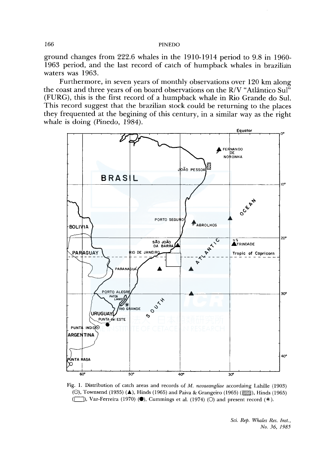## 166 PINEDO

ground changes from 222.6 whales in the 1910-1914 period to 9.8 in 1960- 1963 period, and the last record of catch of humpback whales in brazilian waters was 1963.

Furthermore, in seven years of monthly observations over 120 km along the coast and three years of on board observations on the R/V "Atlântico Sul" (FURG), this is the first record of a humpback whale in Rio Grande do Sul. This record suggest that the brazilian stock could be returning to the places they frequented at the begining of this century, in a similar way as the right whale is doing (Pinedo, 1984).



Fig. 1. Distribution of catch areas and records of *M. novaeangliae* accordaing Lahille (1903) (O), Townsend (1935) ( $\blacktriangle$ ), Hinds (1965) and Paiva & Grangeiro (1965) ( $\mathbb{Z}/\mathbb{Z}$ ), Hinds (1965) ((C<sub>J</sub>), Vaz-Ferreira (1970) ( $\bullet$ ), Cummings et al. (1974) (O) and present record (\*).

*Sci. Rep. Whales Res. Inst., No. 36, 1985*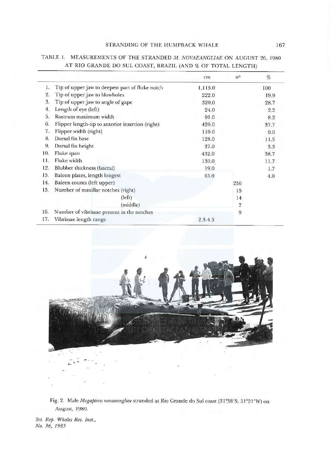# STRANDING OF THE HUMPBACK WHALE 167

|     |                                                  | cm          | $n^{\rm o}$ | %    |
|-----|--------------------------------------------------|-------------|-------------|------|
| 1.  | Tip of upper jaw to deepest part of fluke notch  | 1,115.0     |             | 100  |
| 2.  | Tip of upper jaw to blowholes                    | 222.0       |             | 19.9 |
| 3.  | Tip of upper jaw to angle of gape                | 320.0       |             | 28.7 |
| 4.  | Length of eye (left)                             | 24.0        |             | 2.2  |
| 5.  | Rostrum maximum width                            | 91.0        |             | 8.2  |
| 6.  | Flipper length-tip to anterior insertion (right) | 420.0       |             | 37.7 |
| 7.  | Flipper width (right)                            | 110.0       |             | 9.9  |
| 8.  | Dorsal fin base                                  | 128.0       |             | 11.5 |
| 9.  | Dorsal fin height                                | 37.0        |             | 3.3  |
| 10. | Fluke span                                       | 432.0       |             | 38.7 |
| 11. | Fluke width                                      | 130.0       |             | 11.7 |
| 12. | Blubber thickness (lateral)                      | 19.0        |             | 1.7  |
| 13. | Baleen plates, length longest                    | 45.0        |             | 4.0  |
| 14. | Baleen counts (left upper)                       |             | 256         |      |
| 15. | Number of maxillar notches (right)               |             | 15          |      |
|     | (left)                                           |             | 14          |      |
|     | (middle)                                         |             | 7           |      |
| 16. | Number of vibrissae present in the notches       |             | 9           |      |
| 17. | Vibrissae length range                           | $2.3 - 4.5$ |             |      |

# TABLE 1. MEASUREMENTS OF THE STRANDED M. NOVAEANGLIAE ON AUGUST 26, 1980 AT RIO GRANDE DO SUL COAST, BRAZIL (AND% OF TOTAL LENGTH)



Fig. 2. Male Megaptera novaeangliae stranded at Rio Grande do Sul coast (31°38'S, 51°21'W) on August, 1980.

Sci. Rep. Whales Res. Inst., No. 36, 1985